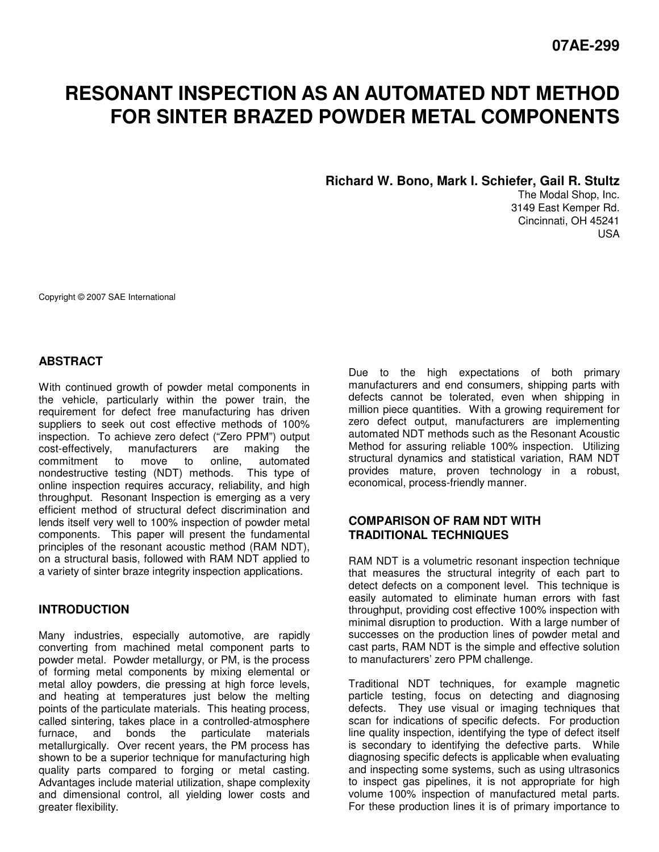# **RESONANT INSPECTION AS AN AUTOMATED NDT METHOD FOR SINTER BRAZED POWDER METAL COMPONENTS**

**Richard W. Bono, Mark I. Schiefer, Gail R. Stultz** 

The Modal Shop, Inc. 3149 East Kemper Rd. Cincinnati, OH 45241 USA

Copyright © 2007 SAE International

# **ABSTRACT**

With continued growth of powder metal components in the vehicle, particularly within the power train, the requirement for defect free manufacturing has driven suppliers to seek out cost effective methods of 100% inspection. To achieve zero defect ("Zero PPM") output cost-effectively, manufacturers are making the manufacturers are making the commitment to move to online, automated nondestructive testing (NDT) methods. This type of online inspection requires accuracy, reliability, and high throughput. Resonant Inspection is emerging as a very efficient method of structural defect discrimination and lends itself very well to 100% inspection of powder metal components. This paper will present the fundamental principles of the resonant acoustic method (RAM NDT), on a structural basis, followed with RAM NDT applied to a variety of sinter braze integrity inspection applications.

## **INTRODUCTION**

Many industries, especially automotive, are rapidly converting from machined metal component parts to powder metal. Powder metallurgy, or PM, is the process of forming metal components by mixing elemental or metal alloy powders, die pressing at high force levels, and heating at temperatures just below the melting points of the particulate materials. This heating process, called sintering, takes place in a controlled-atmosphere furnace, and bonds the particulate materials metallurgically. Over recent years, the PM process has shown to be a superior technique for manufacturing high quality parts compared to forging or metal casting. Advantages include material utilization, shape complexity and dimensional control, all yielding lower costs and greater flexibility.

Due to the high expectations of both primary manufacturers and end consumers, shipping parts with defects cannot be tolerated, even when shipping in million piece quantities. With a growing requirement for zero defect output, manufacturers are implementing automated NDT methods such as the Resonant Acoustic Method for assuring reliable 100% inspection. Utilizing structural dynamics and statistical variation, RAM NDT provides mature, proven technology in a robust, economical, process-friendly manner.

# **COMPARISON OF RAM NDT WITH TRADITIONAL TECHNIQUES**

RAM NDT is a volumetric resonant inspection technique that measures the structural integrity of each part to detect defects on a component level. This technique is easily automated to eliminate human errors with fast throughput, providing cost effective 100% inspection with minimal disruption to production. With a large number of successes on the production lines of powder metal and cast parts, RAM NDT is the simple and effective solution to manufacturers' zero PPM challenge.

Traditional NDT techniques, for example magnetic particle testing, focus on detecting and diagnosing defects. They use visual or imaging techniques that scan for indications of specific defects. For production line quality inspection, identifying the type of defect itself is secondary to identifying the defective parts. While diagnosing specific defects is applicable when evaluating and inspecting some systems, such as using ultrasonics to inspect gas pipelines, it is not appropriate for high volume 100% inspection of manufactured metal parts. For these production lines it is of primary importance to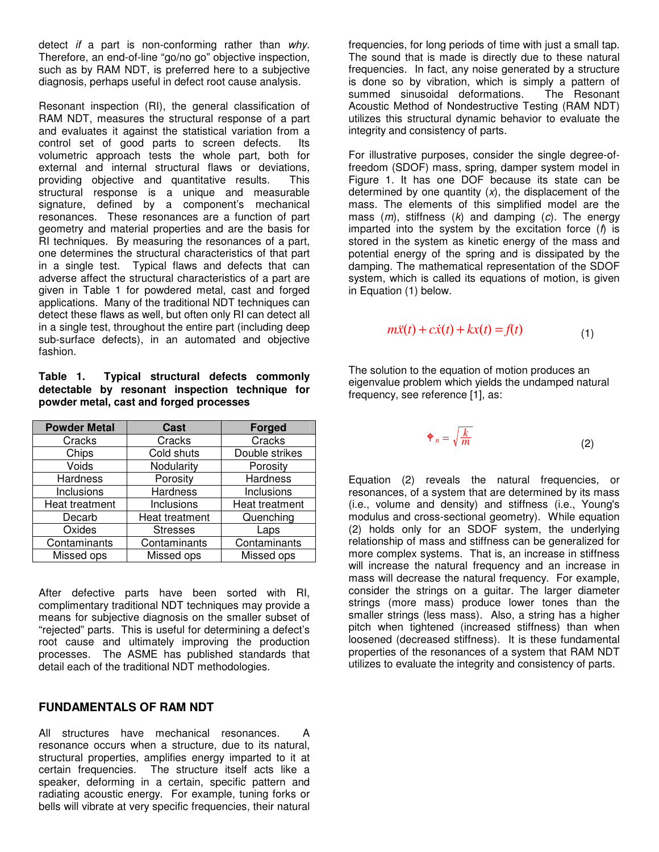detect *if* a part is non-conforming rather than why. Therefore, an end-of-line "go/no go" objective inspection, such as by RAM NDT, is preferred here to a subjective diagnosis, perhaps useful in defect root cause analysis.

Resonant inspection (RI), the general classification of RAM NDT, measures the structural response of a part and evaluates it against the statistical variation from a control set of good parts to screen defects. Its volumetric approach tests the whole part, both for external and internal structural flaws or deviations, providing objective and quantitative results. This structural response is a unique and measurable signature, defined by a component's mechanical resonances. These resonances are a function of part geometry and material properties and are the basis for RI techniques. By measuring the resonances of a part, one determines the structural characteristics of that part in a single test. Typical flaws and defects that can adverse affect the structural characteristics of a part are given in Table 1 for powdered metal, cast and forged applications. Many of the traditional NDT techniques can detect these flaws as well, but often only RI can detect all in a single test, throughout the entire part (including deep sub-surface defects), in an automated and objective fashion.

**Table 1. Typical structural defects commonly detectable by resonant inspection technique for powder metal, cast and forged processes** 

| <b>Powder Metal</b> | <b>Cast</b>     | <b>Forged</b>   |
|---------------------|-----------------|-----------------|
| Cracks              | Cracks          | Cracks          |
| Chips               | Cold shuts      | Double strikes  |
| Voids               | Nodularity      | Porosity        |
| Hardness            | Porosity        | <b>Hardness</b> |
| Inclusions          | <b>Hardness</b> | Inclusions      |
| Heat treatment      | Inclusions      | Heat treatment  |
| Decarb              | Heat treatment  | Quenching       |
| Oxides              | <b>Stresses</b> | Laps            |
| Contaminants        | Contaminants    | Contaminants    |
| Missed ops          | Missed ops      | Missed ops      |

After defective parts have been sorted with RI, complimentary traditional NDT techniques may provide a means for subjective diagnosis on the smaller subset of "rejected" parts. This is useful for determining a defect's root cause and ultimately improving the production processes. The ASME has published standards that detail each of the traditional NDT methodologies.

## **FUNDAMENTALS OF RAM NDT**

All structures have mechanical resonances. A resonance occurs when a structure, due to its natural, structural properties, amplifies energy imparted to it at certain frequencies. The structure itself acts like a speaker, deforming in a certain, specific pattern and radiating acoustic energy. For example, tuning forks or bells will vibrate at very specific frequencies, their natural

frequencies, for long periods of time with just a small tap. The sound that is made is directly due to these natural frequencies. In fact, any noise generated by a structure is done so by vibration, which is simply a pattern of summed sinusoidal deformations. The Resonant Acoustic Method of Nondestructive Testing (RAM NDT) utilizes this structural dynamic behavior to evaluate the integrity and consistency of parts.

For illustrative purposes, consider the single degree-offreedom (SDOF) mass, spring, damper system model in Figure 1. It has one DOF because its state can be determined by one quantity  $(x)$ , the displacement of the mass. The elements of this simplified model are the mass  $(m)$ , stiffness  $(k)$  and damping  $(c)$ . The energy imparted into the system by the excitation force  $(f)$  is stored in the system as kinetic energy of the mass and potential energy of the spring and is dissipated by the damping. The mathematical representation of the SDOF system, which is called its equations of motion, is given in Equation (1) below.

$$
m\ddot{x}(t) + c\dot{x}(t) + kx(t) = f(t)
$$
\n(1)

The solution to the equation of motion produces an eigenvalue problem which yields the undamped natural frequency, see reference [1], as:

$$
\mathbf{\Phi}_n = \sqrt{\frac{k}{m}} \tag{2}
$$

Equation (2) reveals the natural frequencies, or resonances, of a system that are determined by its mass (i.e., volume and density) and stiffness (i.e., Young's modulus and cross-sectional geometry). While equation (2) holds only for an SDOF system, the underlying relationship of mass and stiffness can be generalized for more complex systems. That is, an increase in stiffness will increase the natural frequency and an increase in mass will decrease the natural frequency. For example, consider the strings on a guitar. The larger diameter strings (more mass) produce lower tones than the smaller strings (less mass). Also, a string has a higher pitch when tightened (increased stiffness) than when loosened (decreased stiffness). It is these fundamental properties of the resonances of a system that RAM NDT utilizes to evaluate the integrity and consistency of parts.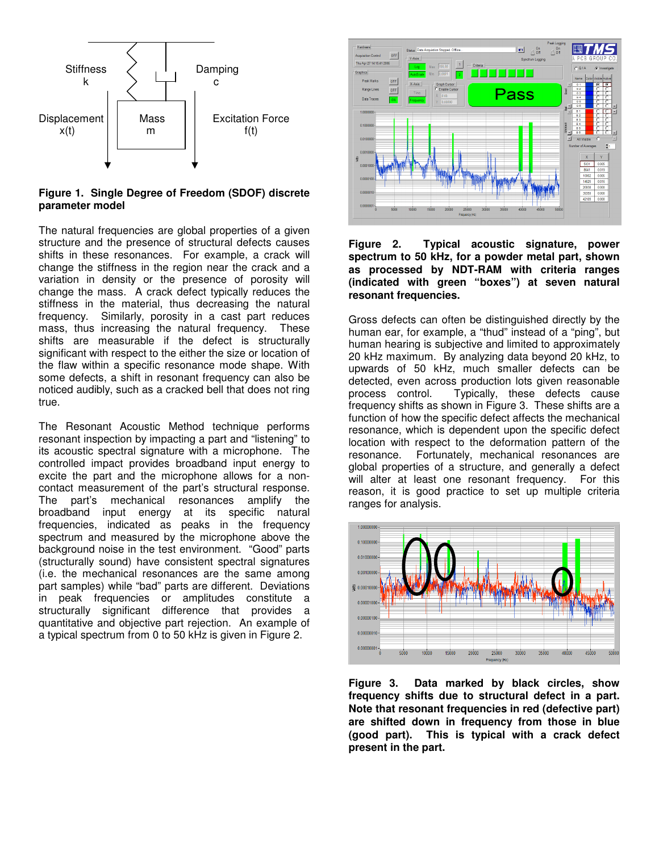

#### **Figure 1. Single Degree of Freedom (SDOF) discrete parameter model**

The natural frequencies are global properties of a given structure and the presence of structural defects causes shifts in these resonances. For example, a crack will change the stiffness in the region near the crack and a variation in density or the presence of porosity will change the mass. A crack defect typically reduces the stiffness in the material, thus decreasing the natural frequency. Similarly, porosity in a cast part reduces mass, thus increasing the natural frequency. These shifts are measurable if the defect is structurally significant with respect to the either the size or location of the flaw within a specific resonance mode shape. With some defects, a shift in resonant frequency can also be noticed audibly, such as a cracked bell that does not ring true.

The Resonant Acoustic Method technique performs resonant inspection by impacting a part and "listening" to its acoustic spectral signature with a microphone. The controlled impact provides broadband input energy to excite the part and the microphone allows for a noncontact measurement of the part's structural response. The part's mechanical resonances amplify the broadband input energy at its specific natural frequencies, indicated as peaks in the frequency spectrum and measured by the microphone above the background noise in the test environment. "Good" parts (structurally sound) have consistent spectral signatures (i.e. the mechanical resonances are the same among part samples) while "bad" parts are different. Deviations in peak frequencies or amplitudes constitute a structurally significant difference that provides a quantitative and objective part rejection. An example of a typical spectrum from 0 to 50 kHz is given in Figure 2.



**Figure 2. Typical acoustic signature, power spectrum to 50 kHz, for a powder metal part, shown as processed by NDT-RAM with criteria ranges (indicated with green "boxes") at seven natural resonant frequencies.** 

Gross defects can often be distinguished directly by the human ear, for example, a "thud" instead of a "ping", but human hearing is subjective and limited to approximately 20 kHz maximum. By analyzing data beyond 20 kHz, to upwards of 50 kHz, much smaller defects can be detected, even across production lots given reasonable<br>process control. Typically, these defects cause Typically, these defects cause frequency shifts as shown in Figure 3. These shifts are a function of how the specific defect affects the mechanical resonance, which is dependent upon the specific defect location with respect to the deformation pattern of the resonance. Fortunately, mechanical resonances are global properties of a structure, and generally a defect will alter at least one resonant frequency. For this reason, it is good practice to set up multiple criteria ranges for analysis.



**Figure 3. Data marked by black circles, show frequency shifts due to structural defect in a part. Note that resonant frequencies in red (defective part) are shifted down in frequency from those in blue (good part). This is typical with a crack defect present in the part.**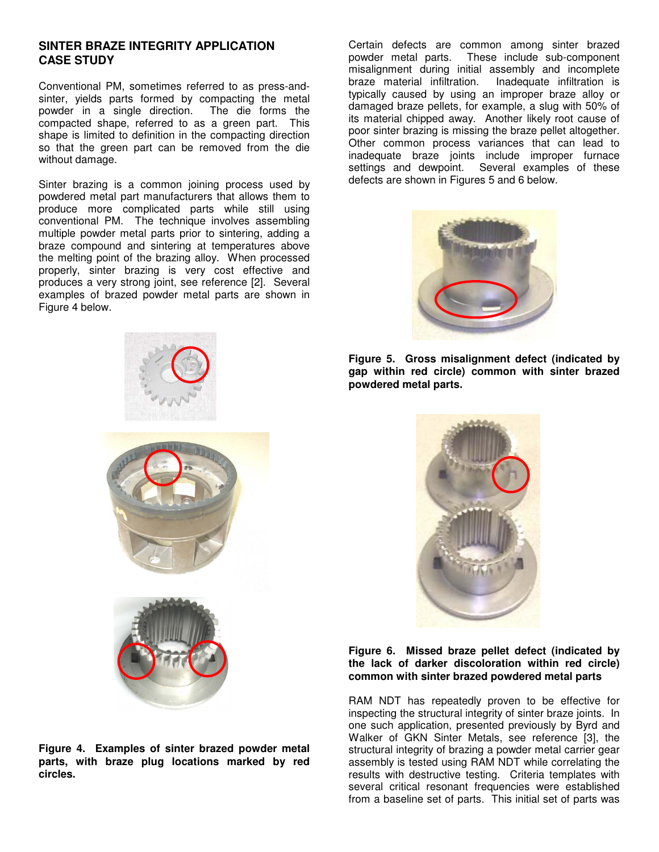## **SINTER BRAZE INTEGRITY APPLICATION CASE STUDY**

Conventional PM, sometimes referred to as press-andsinter, yields parts formed by compacting the metal powder in a single direction. The die forms the compacted shape, referred to as a green part. This shape is limited to definition in the compacting direction so that the green part can be removed from the die without damage.

Sinter brazing is a common joining process used by powdered metal part manufacturers that allows them to produce more complicated parts while still using conventional PM. The technique involves assembling multiple powder metal parts prior to sintering, adding a braze compound and sintering at temperatures above the melting point of the brazing alloy. When processed properly, sinter brazing is very cost effective and produces a very strong joint, see reference [2]. Several examples of brazed powder metal parts are shown in Figure 4 below.



**Figure 4. Examples of sinter brazed powder metal parts, with braze plug locations marked by red circles.** 

Certain defects are common among sinter brazed powder metal parts. These include sub-component misalignment during initial assembly and incomplete braze material infiltration. Inadequate infiltration is typically caused by using an improper braze alloy or damaged braze pellets, for example, a slug with 50% of its material chipped away. Another likely root cause of poor sinter brazing is missing the braze pellet altogether. Other common process variances that can lead to inadequate braze joints include improper furnace settings and dewpoint. Several examples of these defects are shown in Figures 5 and 6 below.



**Figure 5. Gross misalignment defect (indicated by gap within red circle) common with sinter brazed powdered metal parts.** 



#### **Figure 6. Missed braze pellet defect (indicated by the lack of darker discoloration within red circle) common with sinter brazed powdered metal parts**

RAM NDT has repeatedly proven to be effective for inspecting the structural integrity of sinter braze joints. In one such application, presented previously by Byrd and Walker of GKN Sinter Metals, see reference [3], the structural integrity of brazing a powder metal carrier gear assembly is tested using RAM NDT while correlating the results with destructive testing. Criteria templates with several critical resonant frequencies were established from a baseline set of parts. This initial set of parts was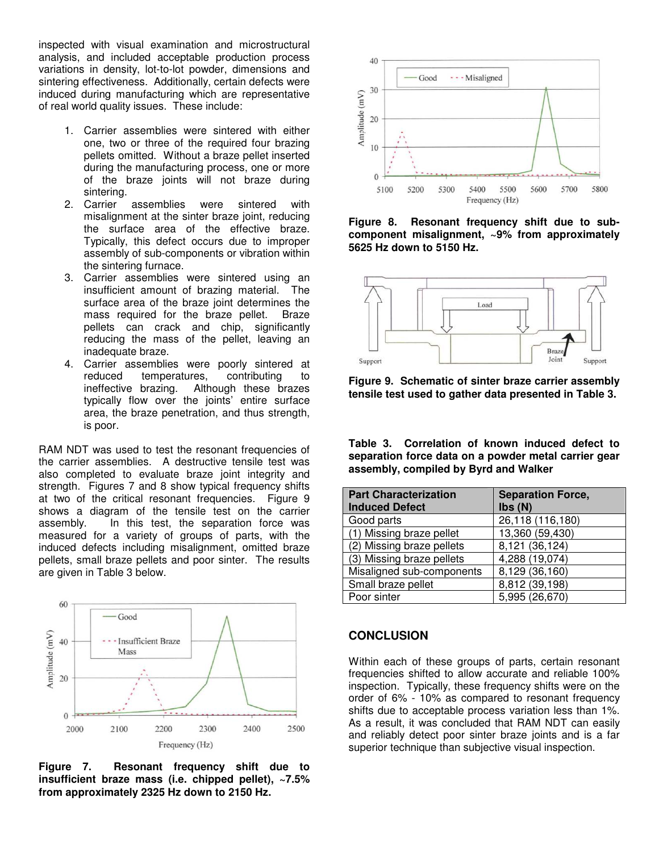inspected with visual examination and microstructural analysis, and included acceptable production process variations in density, lot-to-lot powder, dimensions and sintering effectiveness. Additionally, certain defects were induced during manufacturing which are representative of real world quality issues. These include:

- 1. Carrier assemblies were sintered with either one, two or three of the required four brazing pellets omitted. Without a braze pellet inserted during the manufacturing process, one or more of the braze joints will not braze during sintering.
- 2. Carrier assemblies were sintered with misalignment at the sinter braze joint, reducing the surface area of the effective braze. Typically, this defect occurs due to improper assembly of sub-components or vibration within the sintering furnace.
- 3. Carrier assemblies were sintered using an insufficient amount of brazing material. The surface area of the braze joint determines the mass required for the braze pellet. Braze pellets can crack and chip, significantly reducing the mass of the pellet, leaving an inadequate braze.
- 4. Carrier assemblies were poorly sintered at reduced temperatures, contributing to ineffective brazing. Although these brazes typically flow over the joints' entire surface area, the braze penetration, and thus strength, is poor.

RAM NDT was used to test the resonant frequencies of the carrier assemblies. A destructive tensile test was also completed to evaluate braze joint integrity and strength. Figures 7 and 8 show typical frequency shifts at two of the critical resonant frequencies. Figure 9 shows a diagram of the tensile test on the carrier assembly. In this test, the separation force was measured for a variety of groups of parts, with the induced defects including misalignment, omitted braze pellets, small braze pellets and poor sinter. The results are given in Table 3 below.



**Figure 7. Resonant frequency shift due to insufficient braze mass (i.e. chipped pellet), ~7.5% from approximately 2325 Hz down to 2150 Hz.** 



**Figure 8. Resonant frequency shift due to subcomponent misalignment, ~9% from approximately 5625 Hz down to 5150 Hz.** 



**Figure 9. Schematic of sinter braze carrier assembly tensile test used to gather data presented in Table 3.** 

**Table 3. Correlation of known induced defect to separation force data on a powder metal carrier gear assembly, compiled by Byrd and Walker** 

| <b>Part Characterization</b> | <b>Separation Force,</b> |  |
|------------------------------|--------------------------|--|
| <b>Induced Defect</b>        | Ibs(N)                   |  |
| Good parts                   | 26,118 (116,180)         |  |
| (1) Missing braze pellet     | 13,360 (59,430)          |  |
| (2) Missing braze pellets    | 8,121 (36,124)           |  |
| (3) Missing braze pellets    | 4,288 (19,074)           |  |
| Misaligned sub-components    | 8,129 (36,160)           |  |
| Small braze pellet           | 8,812 (39,198)           |  |
| Poor sinter                  | 5,995 (26,670)           |  |

## **CONCLUSION**

Within each of these groups of parts, certain resonant frequencies shifted to allow accurate and reliable 100% inspection. Typically, these frequency shifts were on the order of 6% - 10% as compared to resonant frequency shifts due to acceptable process variation less than 1%. As a result, it was concluded that RAM NDT can easily and reliably detect poor sinter braze joints and is a far superior technique than subjective visual inspection.